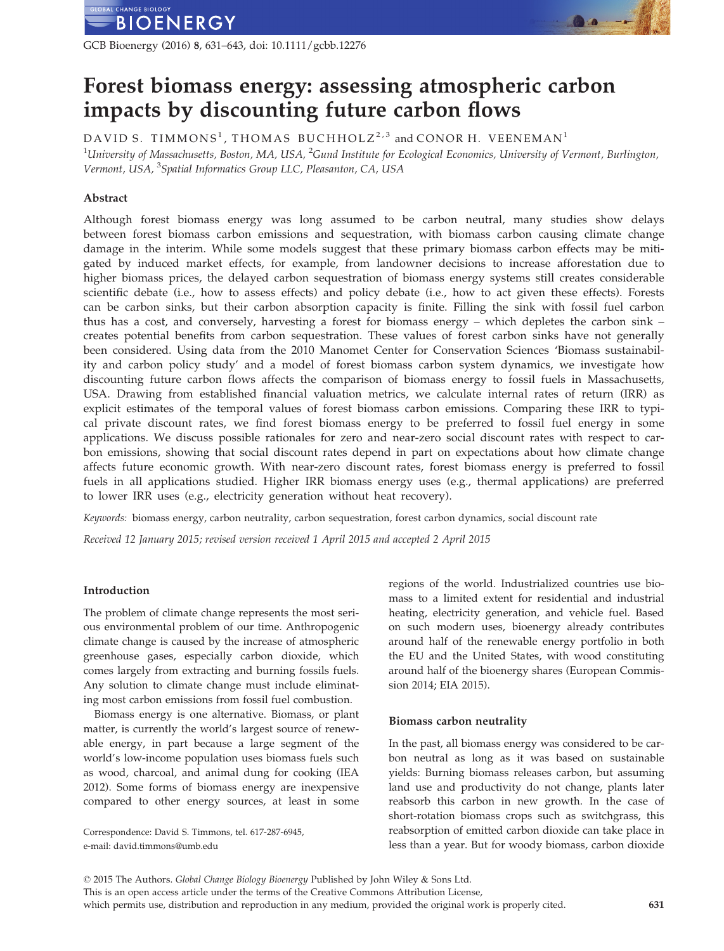

GCB Bioenergy (2016) 8, 631–643, doi: 10.1111/gcbb.12276

# Forest biomass energy: assessing atmospheric carbon impacts by discounting future carbon flows

DAVID S. TIMMONS<sup>1</sup>, THOMAS BUCHHOLZ<sup>2,3</sup> and CONOR H. VEENEMAN<sup>1</sup>  $^1$ University of Massachusetts, Boston, MA, USA,  $^2$ Gund Institute for Ecological Economics, University of Vermont, Burlington, Vermont, USA, <sup>3</sup>Spatial Informatics Group LLC, Pleasanton, CA, USA

# Abstract

Although forest biomass energy was long assumed to be carbon neutral, many studies show delays between forest biomass carbon emissions and sequestration, with biomass carbon causing climate change damage in the interim. While some models suggest that these primary biomass carbon effects may be mitigated by induced market effects, for example, from landowner decisions to increase afforestation due to higher biomass prices, the delayed carbon sequestration of biomass energy systems still creates considerable scientific debate (i.e., how to assess effects) and policy debate (i.e., how to act given these effects). Forests can be carbon sinks, but their carbon absorption capacity is finite. Filling the sink with fossil fuel carbon thus has a cost, and conversely, harvesting a forest for biomass energy – which depletes the carbon sink – creates potential benefits from carbon sequestration. These values of forest carbon sinks have not generally been considered. Using data from the 2010 Manomet Center for Conservation Sciences 'Biomass sustainability and carbon policy study' and a model of forest biomass carbon system dynamics, we investigate how discounting future carbon flows affects the comparison of biomass energy to fossil fuels in Massachusetts, USA. Drawing from established financial valuation metrics, we calculate internal rates of return (IRR) as explicit estimates of the temporal values of forest biomass carbon emissions. Comparing these IRR to typical private discount rates, we find forest biomass energy to be preferred to fossil fuel energy in some applications. We discuss possible rationales for zero and near-zero social discount rates with respect to carbon emissions, showing that social discount rates depend in part on expectations about how climate change affects future economic growth. With near-zero discount rates, forest biomass energy is preferred to fossil fuels in all applications studied. Higher IRR biomass energy uses (e.g., thermal applications) are preferred to lower IRR uses (e.g., electricity generation without heat recovery).

Keywords: biomass energy, carbon neutrality, carbon sequestration, forest carbon dynamics, social discount rate

Received 12 January 2015; revised version received 1 April 2015 and accepted 2 April 2015

#### Introduction

The problem of climate change represents the most serious environmental problem of our time. Anthropogenic climate change is caused by the increase of atmospheric greenhouse gases, especially carbon dioxide, which comes largely from extracting and burning fossils fuels. Any solution to climate change must include eliminating most carbon emissions from fossil fuel combustion.

Biomass energy is one alternative. Biomass, or plant matter, is currently the world's largest source of renewable energy, in part because a large segment of the world's low-income population uses biomass fuels such as wood, charcoal, and animal dung for cooking (IEA 2012). Some forms of biomass energy are inexpensive compared to other energy sources, at least in some

Correspondence: David S. Timmons, tel. 617-287-6945, e-mail: david.timmons@umb.edu

regions of the world. Industrialized countries use biomass to a limited extent for residential and industrial heating, electricity generation, and vehicle fuel. Based on such modern uses, bioenergy already contributes around half of the renewable energy portfolio in both the EU and the United States, with wood constituting around half of the bioenergy shares (European Commission 2014; EIA 2015).

**O** . -

#### Biomass carbon neutrality

In the past, all biomass energy was considered to be carbon neutral as long as it was based on sustainable yields: Burning biomass releases carbon, but assuming land use and productivity do not change, plants later reabsorb this carbon in new growth. In the case of short-rotation biomass crops such as switchgrass, this reabsorption of emitted carbon dioxide can take place in less than a year. But for woody biomass, carbon dioxide

© 2015 The Authors. Global Change Biology Bioenergy Published by John Wiley & Sons Ltd. This is an open access article under the terms of the [Creative Commons Attribution](http://creativecommons.org/licenses/by/4.0/) License, which permits use, distribution and reproduction in any medium, provided the original work is properly cited. 631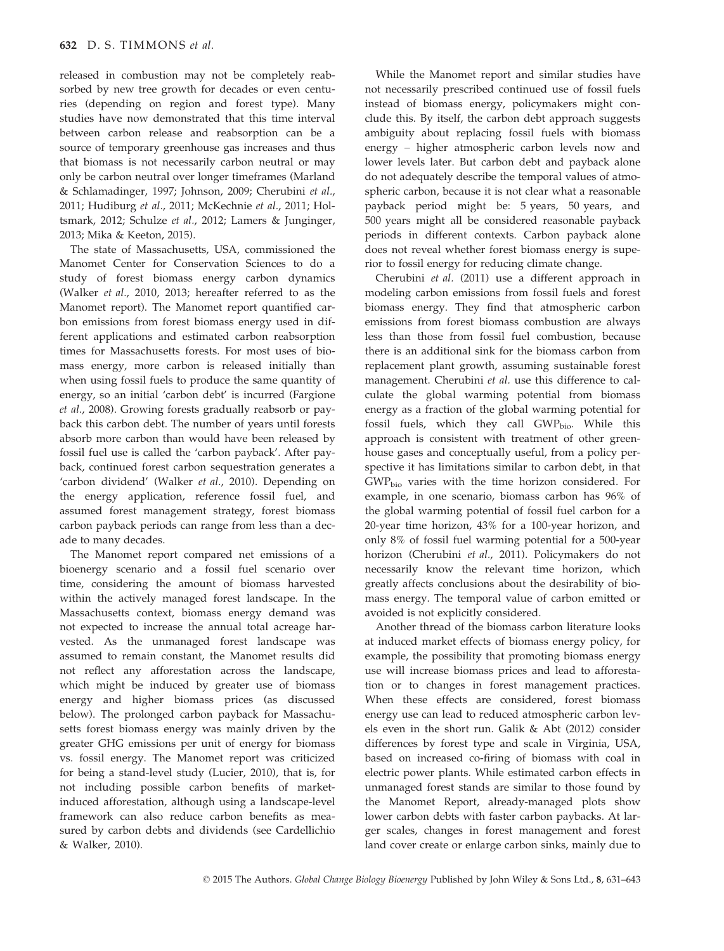released in combustion may not be completely reabsorbed by new tree growth for decades or even centuries (depending on region and forest type). Many studies have now demonstrated that this time interval between carbon release and reabsorption can be a source of temporary greenhouse gas increases and thus that biomass is not necessarily carbon neutral or may only be carbon neutral over longer timeframes (Marland & Schlamadinger, 1997; Johnson, 2009; Cherubini et al., 2011; Hudiburg et al., 2011; McKechnie et al., 2011; Holtsmark, 2012; Schulze et al., 2012; Lamers & Junginger, 2013; Mika & Keeton, 2015).

The state of Massachusetts, USA, commissioned the Manomet Center for Conservation Sciences to do a study of forest biomass energy carbon dynamics (Walker et al., 2010, 2013; hereafter referred to as the Manomet report). The Manomet report quantified carbon emissions from forest biomass energy used in different applications and estimated carbon reabsorption times for Massachusetts forests. For most uses of biomass energy, more carbon is released initially than when using fossil fuels to produce the same quantity of energy, so an initial 'carbon debt' is incurred (Fargione et al., 2008). Growing forests gradually reabsorb or payback this carbon debt. The number of years until forests absorb more carbon than would have been released by fossil fuel use is called the 'carbon payback'. After payback, continued forest carbon sequestration generates a 'carbon dividend' (Walker et al., 2010). Depending on the energy application, reference fossil fuel, and assumed forest management strategy, forest biomass carbon payback periods can range from less than a decade to many decades.

The Manomet report compared net emissions of a bioenergy scenario and a fossil fuel scenario over time, considering the amount of biomass harvested within the actively managed forest landscape. In the Massachusetts context, biomass energy demand was not expected to increase the annual total acreage harvested. As the unmanaged forest landscape was assumed to remain constant, the Manomet results did not reflect any afforestation across the landscape, which might be induced by greater use of biomass energy and higher biomass prices (as discussed below). The prolonged carbon payback for Massachusetts forest biomass energy was mainly driven by the greater GHG emissions per unit of energy for biomass vs. fossil energy. The Manomet report was criticized for being a stand-level study (Lucier, 2010), that is, for not including possible carbon benefits of marketinduced afforestation, although using a landscape-level framework can also reduce carbon benefits as measured by carbon debts and dividends (see Cardellichio & Walker, 2010).

While the Manomet report and similar studies have not necessarily prescribed continued use of fossil fuels instead of biomass energy, policymakers might conclude this. By itself, the carbon debt approach suggests ambiguity about replacing fossil fuels with biomass energy – higher atmospheric carbon levels now and lower levels later. But carbon debt and payback alone do not adequately describe the temporal values of atmospheric carbon, because it is not clear what a reasonable payback period might be: 5 years, 50 years, and 500 years might all be considered reasonable payback periods in different contexts. Carbon payback alone does not reveal whether forest biomass energy is superior to fossil energy for reducing climate change.

Cherubini et al. (2011) use a different approach in modeling carbon emissions from fossil fuels and forest biomass energy. They find that atmospheric carbon emissions from forest biomass combustion are always less than those from fossil fuel combustion, because there is an additional sink for the biomass carbon from replacement plant growth, assuming sustainable forest management. Cherubini et al. use this difference to calculate the global warming potential from biomass energy as a fraction of the global warming potential for fossil fuels, which they call  $GWP<sub>bio</sub>$ . While this approach is consistent with treatment of other greenhouse gases and conceptually useful, from a policy perspective it has limitations similar to carbon debt, in that GWPbio varies with the time horizon considered. For example, in one scenario, biomass carbon has 96% of the global warming potential of fossil fuel carbon for a 20-year time horizon, 43% for a 100-year horizon, and only 8% of fossil fuel warming potential for a 500-year horizon (Cherubini et al., 2011). Policymakers do not necessarily know the relevant time horizon, which greatly affects conclusions about the desirability of biomass energy. The temporal value of carbon emitted or avoided is not explicitly considered.

Another thread of the biomass carbon literature looks at induced market effects of biomass energy policy, for example, the possibility that promoting biomass energy use will increase biomass prices and lead to afforestation or to changes in forest management practices. When these effects are considered, forest biomass energy use can lead to reduced atmospheric carbon levels even in the short run. Galik & Abt (2012) consider differences by forest type and scale in Virginia, USA, based on increased co-firing of biomass with coal in electric power plants. While estimated carbon effects in unmanaged forest stands are similar to those found by the Manomet Report, already-managed plots show lower carbon debts with faster carbon paybacks. At larger scales, changes in forest management and forest land cover create or enlarge carbon sinks, mainly due to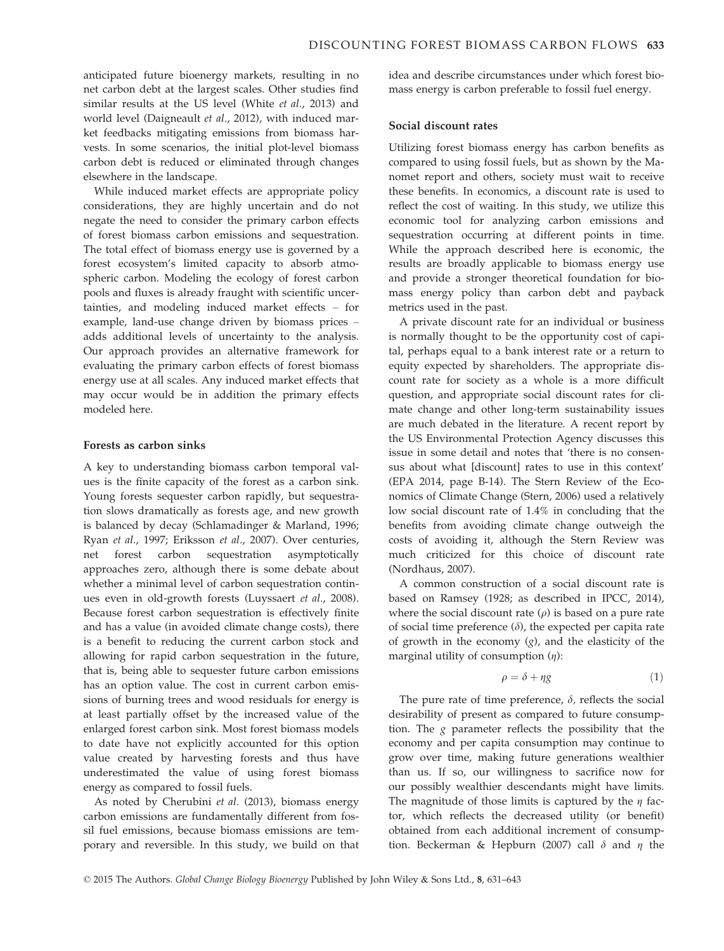anticipated future bioenergy markets, resulting in no net carbon debt at the largest scales. Other studies find similar results at the US level (White et al., 2013) and world level (Daigneault et al., 2012), with induced market feedbacks mitigating emissions from biomass harvests. In some scenarios, the initial plot-level biomass carbon debt is reduced or eliminated through changes elsewhere in the landscape.

While induced market effects are appropriate policy considerations, they are highly uncertain and do not negate the need to consider the primary carbon effects of forest biomass carbon emissions and sequestration. The total effect of biomass energy use is governed by a forest ecosystem's limited capacity to absorb atmospheric carbon. Modeling the ecology of forest carbon pools and fluxes is already fraught with scientific uncertainties, and modeling induced market effects – for example, land-use change driven by biomass prices – adds additional levels of uncertainty to the analysis. Our approach provides an alternative framework for evaluating the primary carbon effects of forest biomass energy use at all scales. Any induced market effects that may occur would be in addition the primary effects modeled here.

## Forests as carbon sinks

A key to understanding biomass carbon temporal values is the finite capacity of the forest as a carbon sink. Young forests sequester carbon rapidly, but sequestration slows dramatically as forests age, and new growth is balanced by decay (Schlamadinger & Marland, 1996; Ryan et al., 1997; Eriksson et al., 2007). Over centuries, net forest carbon sequestration asymptotically approaches zero, although there is some debate about whether a minimal level of carbon sequestration continues even in old-growth forests (Luyssaert et al., 2008). Because forest carbon sequestration is effectively finite and has a value (in avoided climate change costs), there is a benefit to reducing the current carbon stock and allowing for rapid carbon sequestration in the future, that is, being able to sequester future carbon emissions has an option value. The cost in current carbon emissions of burning trees and wood residuals for energy is at least partially offset by the increased value of the enlarged forest carbon sink. Most forest biomass models to date have not explicitly accounted for this option value created by harvesting forests and thus have underestimated the value of using forest biomass energy as compared to fossil fuels.

As noted by Cherubini et al. (2013), biomass energy carbon emissions are fundamentally different from fossil fuel emissions, because biomass emissions are temporary and reversible. In this study, we build on that idea and describe circumstances under which forest biomass energy is carbon preferable to fossil fuel energy.

#### Social discount rates

Utilizing forest biomass energy has carbon benefits as compared to using fossil fuels, but as shown by the Manomet report and others, society must wait to receive these benefits. In economics, a discount rate is used to reflect the cost of waiting. In this study, we utilize this economic tool for analyzing carbon emissions and sequestration occurring at different points in time. While the approach described here is economic, the results are broadly applicable to biomass energy use and provide a stronger theoretical foundation for biomass energy policy than carbon debt and payback metrics used in the past.

A private discount rate for an individual or business is normally thought to be the opportunity cost of capital, perhaps equal to a bank interest rate or a return to equity expected by shareholders. The appropriate discount rate for society as a whole is a more difficult question, and appropriate social discount rates for climate change and other long-term sustainability issues are much debated in the literature. A recent report by the US Environmental Protection Agency discusses this issue in some detail and notes that 'there is no consensus about what [discount] rates to use in this context' (EPA 2014, page B-14). The Stern Review of the Economics of Climate Change (Stern, 2006) used a relatively low social discount rate of 1.4% in concluding that the benefits from avoiding climate change outweigh the costs of avoiding it, although the Stern Review was much criticized for this choice of discount rate (Nordhaus, 2007).

A common construction of a social discount rate is based on Ramsey (1928; as described in IPCC, 2014), where the social discount rate  $(\rho)$  is based on a pure rate of social time preference  $(\delta)$ , the expected per capita rate of growth in the economy  $(q)$ , and the elasticity of the marginal utility of consumption  $(\eta)$ :

$$
\rho = \delta + \eta g \tag{1}
$$

The pure rate of time preference,  $\delta$ , reflects the social desirability of present as compared to future consumption. The  $g$  parameter reflects the possibility that the economy and per capita consumption may continue to grow over time, making future generations wealthier than us. If so, our willingness to sacrifice now for our possibly wealthier descendants might have limits. The magnitude of those limits is captured by the  $\eta$  factor, which reflects the decreased utility (or benefit) obtained from each additional increment of consumption. Beckerman & Hepburn (2007) call  $\delta$  and  $\eta$  the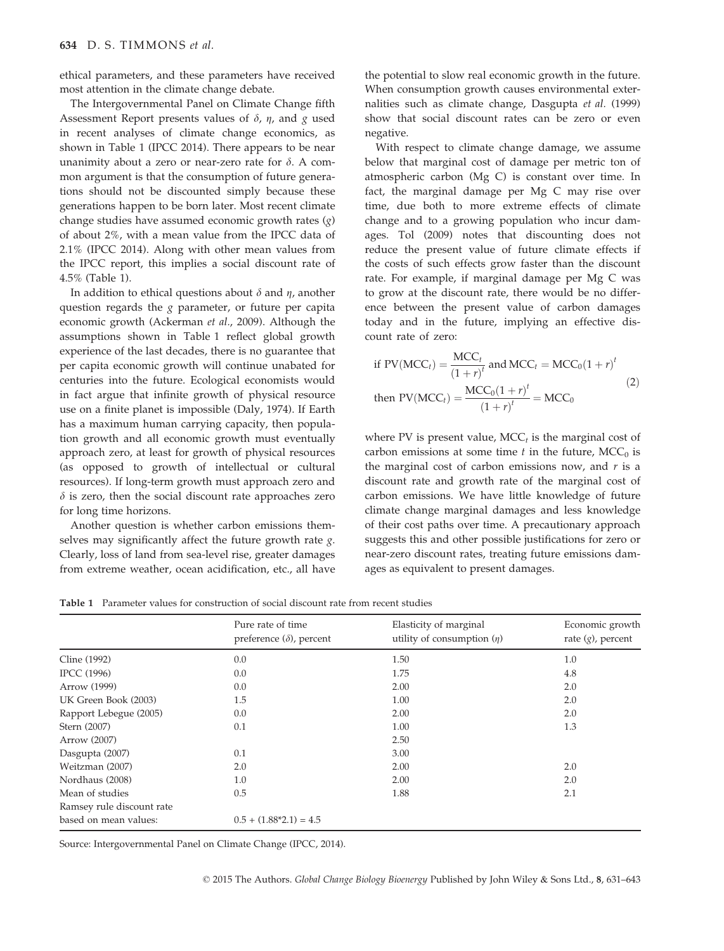ethical parameters, and these parameters have received most attention in the climate change debate.

The Intergovernmental Panel on Climate Change fifth Assessment Report presents values of  $\delta$ ,  $\eta$ , and g used in recent analyses of climate change economics, as shown in Table 1 (IPCC 2014). There appears to be near unanimity about a zero or near-zero rate for  $\delta$ . A common argument is that the consumption of future generations should not be discounted simply because these generations happen to be born later. Most recent climate change studies have assumed economic growth rates  $(q)$ of about 2%, with a mean value from the IPCC data of 2.1% (IPCC 2014). Along with other mean values from the IPCC report, this implies a social discount rate of 4.5% (Table 1).

In addition to ethical questions about  $\delta$  and  $\eta$ , another question regards the g parameter, or future per capita economic growth (Ackerman et al., 2009). Although the assumptions shown in Table 1 reflect global growth experience of the last decades, there is no guarantee that per capita economic growth will continue unabated for centuries into the future. Ecological economists would in fact argue that infinite growth of physical resource use on a finite planet is impossible (Daly, 1974). If Earth has a maximum human carrying capacity, then population growth and all economic growth must eventually approach zero, at least for growth of physical resources (as opposed to growth of intellectual or cultural resources). If long-term growth must approach zero and  $\delta$  is zero, then the social discount rate approaches zero for long time horizons.

Another question is whether carbon emissions themselves may significantly affect the future growth rate g. Clearly, loss of land from sea-level rise, greater damages from extreme weather, ocean acidification, etc., all have the potential to slow real economic growth in the future. When consumption growth causes environmental externalities such as climate change, Dasgupta et al. (1999) show that social discount rates can be zero or even negative.

With respect to climate change damage, we assume below that marginal cost of damage per metric ton of atmospheric carbon (Mg C) is constant over time. In fact, the marginal damage per Mg C may rise over time, due both to more extreme effects of climate change and to a growing population who incur damages. Tol (2009) notes that discounting does not reduce the present value of future climate effects if the costs of such effects grow faster than the discount rate. For example, if marginal damage per Mg C was to grow at the discount rate, there would be no difference between the present value of carbon damages today and in the future, implying an effective discount rate of zero:

if PV(MCC<sub>t</sub>) = 
$$
\frac{\text{MCC}_t}{(1+r)^t}
$$
 and MCC<sub>t</sub> = MCC<sub>0</sub>(1+r)<sup>t</sup>  
then PV(MCC<sub>t</sub>) =  $\frac{\text{MCC}_0(1+r)^t}{(1+r)^t}$  = MCC<sub>0</sub> (2)

where PV is present value,  $MCC<sub>t</sub>$  is the marginal cost of carbon emissions at some time  $t$  in the future, MCC<sub>0</sub> is the marginal cost of carbon emissions now, and  $r$  is a discount rate and growth rate of the marginal cost of carbon emissions. We have little knowledge of future climate change marginal damages and less knowledge of their cost paths over time. A precautionary approach suggests this and other possible justifications for zero or near-zero discount rates, treating future emissions damages as equivalent to present damages.

Table 1 Parameter values for construction of social discount rate from recent studies

|                           | Pure rate of time               | Elasticity of marginal          | Economic growth      |
|---------------------------|---------------------------------|---------------------------------|----------------------|
|                           | preference $(\delta)$ , percent | utility of consumption $(\eta)$ | rate $(g)$ , percent |
| Cline (1992)              | 0.0                             | 1.50                            | 1.0                  |
| <b>IPCC</b> (1996)        | 0.0                             | 1.75                            | 4.8                  |
| Arrow (1999)              | 0.0                             | 2.00                            | 2.0                  |
| UK Green Book (2003)      | 1.5                             | 1.00                            | 2.0                  |
| Rapport Lebegue (2005)    | 0.0                             | 2.00                            | 2.0                  |
| Stern (2007)              | 0.1                             | 1.00                            | 1.3                  |
| Arrow (2007)              |                                 | 2.50                            |                      |
| Dasgupta (2007)           | 0.1                             | 3.00                            |                      |
| Weitzman (2007)           | 2.0                             | 2.00                            | 2.0                  |
| Nordhaus (2008)           | 1.0                             | 2.00                            | 2.0                  |
| Mean of studies           | 0.5                             | 1.88                            | 2.1                  |
| Ramsey rule discount rate |                                 |                                 |                      |
| based on mean values:     | $0.5 + (1.88*2.1) = 4.5$        |                                 |                      |

Source: Intergovernmental Panel on Climate Change (IPCC, 2014).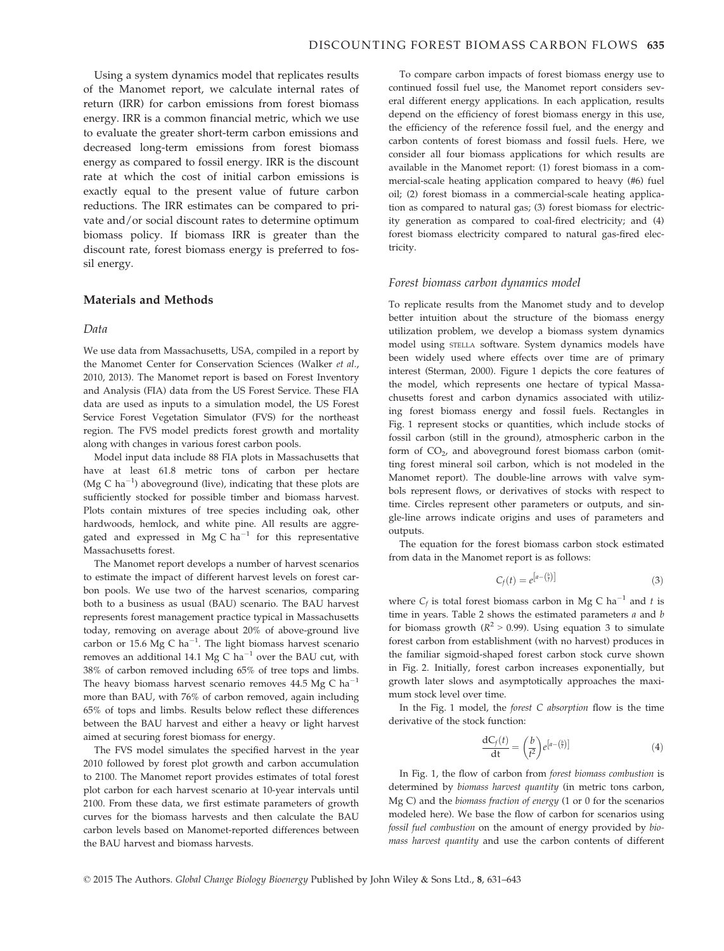Using a system dynamics model that replicates results of the Manomet report, we calculate internal rates of return (IRR) for carbon emissions from forest biomass energy. IRR is a common financial metric, which we use to evaluate the greater short-term carbon emissions and decreased long-term emissions from forest biomass energy as compared to fossil energy. IRR is the discount rate at which the cost of initial carbon emissions is exactly equal to the present value of future carbon reductions. The IRR estimates can be compared to private and/or social discount rates to determine optimum biomass policy. If biomass IRR is greater than the discount rate, forest biomass energy is preferred to fossil energy.

#### Materials and Methods

#### Data

We use data from Massachusetts, USA, compiled in a report by the Manomet Center for Conservation Sciences (Walker et al., 2010, 2013). The Manomet report is based on Forest Inventory and Analysis (FIA) data from the US Forest Service. These FIA data are used as inputs to a simulation model, the US Forest Service Forest Vegetation Simulator (FVS) for the northeast region. The FVS model predicts forest growth and mortality along with changes in various forest carbon pools.

Model input data include 88 FIA plots in Massachusetts that have at least 61.8 metric tons of carbon per hectare (Mg C ha<sup>-1</sup>) aboveground (live), indicating that these plots are sufficiently stocked for possible timber and biomass harvest. Plots contain mixtures of tree species including oak, other hardwoods, hemlock, and white pine. All results are aggregated and expressed in Mg C  $ha^{-1}$  for this representative Massachusetts forest.

The Manomet report develops a number of harvest scenarios to estimate the impact of different harvest levels on forest carbon pools. We use two of the harvest scenarios, comparing both to a business as usual (BAU) scenario. The BAU harvest represents forest management practice typical in Massachusetts today, removing on average about 20% of above-ground live carbon or 15.6 Mg C ha<sup>-1</sup>. The light biomass harvest scenario removes an additional 14.1 Mg C ha<sup> $-1$ </sup> over the BAU cut, with 38% of carbon removed including 65% of tree tops and limbs. The heavy biomass harvest scenario removes  $44.5 \text{ Mg C}$  ha $^{-1}$ more than BAU, with 76% of carbon removed, again including 65% of tops and limbs. Results below reflect these differences between the BAU harvest and either a heavy or light harvest aimed at securing forest biomass for energy.

The FVS model simulates the specified harvest in the year 2010 followed by forest plot growth and carbon accumulation to 2100. The Manomet report provides estimates of total forest plot carbon for each harvest scenario at 10-year intervals until 2100. From these data, we first estimate parameters of growth curves for the biomass harvests and then calculate the BAU carbon levels based on Manomet-reported differences between the BAU harvest and biomass harvests.

To compare carbon impacts of forest biomass energy use to continued fossil fuel use, the Manomet report considers several different energy applications. In each application, results depend on the efficiency of forest biomass energy in this use, the efficiency of the reference fossil fuel, and the energy and carbon contents of forest biomass and fossil fuels. Here, we consider all four biomass applications for which results are available in the Manomet report: (1) forest biomass in a commercial-scale heating application compared to heavy (#6) fuel oil; (2) forest biomass in a commercial-scale heating application as compared to natural gas; (3) forest biomass for electricity generation as compared to coal-fired electricity; and (4) forest biomass electricity compared to natural gas-fired electricity.

#### Forest biomass carbon dynamics model

To replicate results from the Manomet study and to develop better intuition about the structure of the biomass energy utilization problem, we develop a biomass system dynamics model using STELLA software. System dynamics models have been widely used where effects over time are of primary interest (Sterman, 2000). Figure 1 depicts the core features of the model, which represents one hectare of typical Massachusetts forest and carbon dynamics associated with utilizing forest biomass energy and fossil fuels. Rectangles in Fig. 1 represent stocks or quantities, which include stocks of fossil carbon (still in the ground), atmospheric carbon in the form of  $CO<sub>2</sub>$ , and aboveground forest biomass carbon (omitting forest mineral soil carbon, which is not modeled in the Manomet report). The double-line arrows with valve symbols represent flows, or derivatives of stocks with respect to time. Circles represent other parameters or outputs, and single-line arrows indicate origins and uses of parameters and outputs.

The equation for the forest biomass carbon stock estimated from data in the Manomet report is as follows:

$$
C_f(t) = e^{\left[a - \left(\frac{b}{t}\right)\right]}
$$
 (3)

where  $C_f$  is total forest biomass carbon in Mg C ha<sup>-1</sup> and t is time in years. Table 2 shows the estimated parameters  $a$  and  $b$ for biomass growth ( $R^2 > 0.99$ ). Using equation 3 to simulate forest carbon from establishment (with no harvest) produces in the familiar sigmoid-shaped forest carbon stock curve shown in Fig. 2. Initially, forest carbon increases exponentially, but growth later slows and asymptotically approaches the maximum stock level over time.

In the Fig. 1 model, the forest C absorption flow is the time derivative of the stock function:

$$
\frac{\mathrm{d}C_f(t)}{\mathrm{d}t} = \left(\frac{b}{t^2}\right) e^{\left[a - \left(\frac{b}{t}\right)\right]}
$$
(4)

In Fig. 1, the flow of carbon from forest biomass combustion is determined by biomass harvest quantity (in metric tons carbon, Mg C) and the biomass fraction of energy (1 or 0 for the scenarios modeled here). We base the flow of carbon for scenarios using fossil fuel combustion on the amount of energy provided by biomass harvest quantity and use the carbon contents of different

© 2015 The Authors. Global Change Biology Bioenergy Published by John Wiley & Sons Ltd., 8, 631–643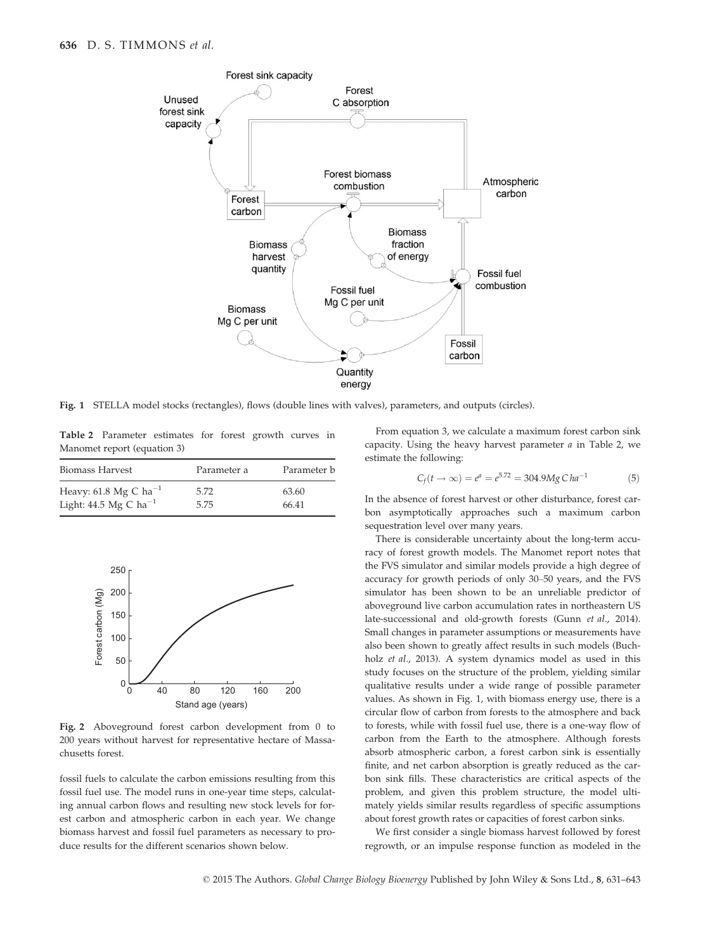

Fig. 1 STELLA model stocks (rectangles), flows (double lines with valves), parameters, and outputs (circles).

Table 2 Parameter estimates for forest growth curves in Manomet report (equation 3)

| <b>Biomass Harvest</b>            | Parameter a | Parameter b |
|-----------------------------------|-------------|-------------|
| Heavy: 61.8 Mg C ha <sup>-1</sup> | 5.72        | 63.60       |
| Light: 44.5 Mg C ha <sup>-1</sup> | 5.75        | 66.41       |



Fig. 2 Aboveground forest carbon development from 0 to 200 years without harvest for representative hectare of Massachusetts forest.

fossil fuels to calculate the carbon emissions resulting from this fossil fuel use. The model runs in one-year time steps, calculating annual carbon flows and resulting new stock levels for forest carbon and atmospheric carbon in each year. We change biomass harvest and fossil fuel parameters as necessary to produce results for the different scenarios shown below.

From equation 3, we calculate a maximum forest carbon sink capacity. Using the heavy harvest parameter  $a$  in Table 2, we estimate the following:

$$
C_f(t \to \infty) = e^a = e^{5.72} = 304.9Mg \, C \, ha^{-1} \tag{5}
$$

In the absence of forest harvest or other disturbance, forest carbon asymptotically approaches such a maximum carbon sequestration level over many years.

There is considerable uncertainty about the long-term accuracy of forest growth models. The Manomet report notes that the FVS simulator and similar models provide a high degree of accuracy for growth periods of only 30–50 years, and the FVS simulator has been shown to be an unreliable predictor of aboveground live carbon accumulation rates in northeastern US late-successional and old-growth forests (Gunn et al., 2014). Small changes in parameter assumptions or measurements have also been shown to greatly affect results in such models (Buchholz et al., 2013). A system dynamics model as used in this study focuses on the structure of the problem, yielding similar qualitative results under a wide range of possible parameter values. As shown in Fig. 1, with biomass energy use, there is a circular flow of carbon from forests to the atmosphere and back to forests, while with fossil fuel use, there is a one-way flow of carbon from the Earth to the atmosphere. Although forests absorb atmospheric carbon, a forest carbon sink is essentially finite, and net carbon absorption is greatly reduced as the carbon sink fills. These characteristics are critical aspects of the problem, and given this problem structure, the model ultimately yields similar results regardless of specific assumptions about forest growth rates or capacities of forest carbon sinks.

We first consider a single biomass harvest followed by forest regrowth, or an impulse response function as modeled in the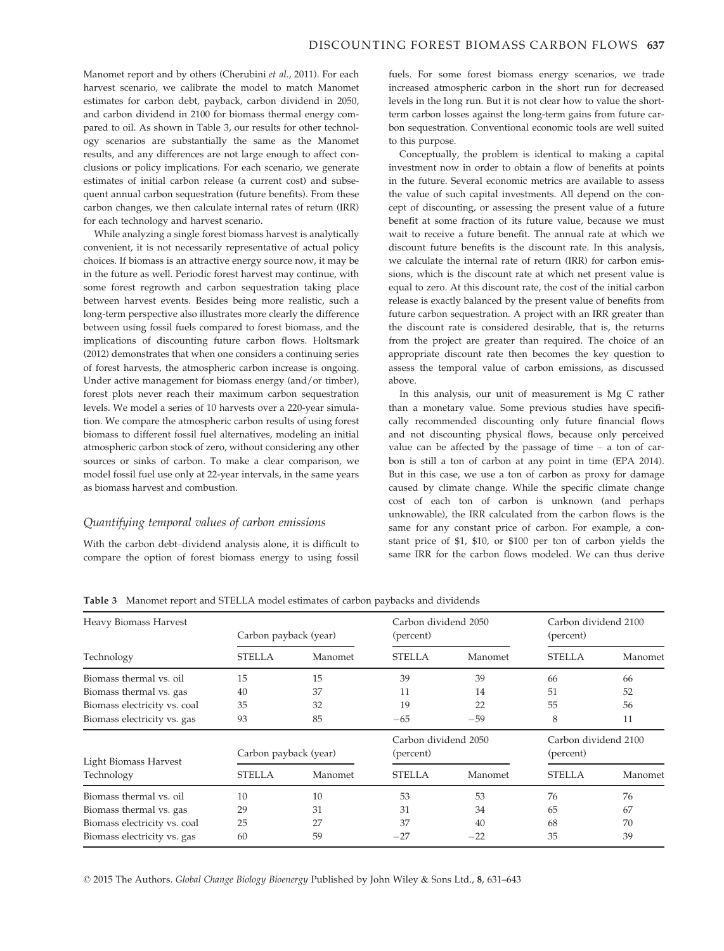Manomet report and by others (Cherubini et al., 2011). For each harvest scenario, we calibrate the model to match Manomet estimates for carbon debt, payback, carbon dividend in 2050, and carbon dividend in 2100 for biomass thermal energy compared to oil. As shown in Table 3, our results for other technology scenarios are substantially the same as the Manomet results, and any differences are not large enough to affect conclusions or policy implications. For each scenario, we generate estimates of initial carbon release (a current cost) and subsequent annual carbon sequestration (future benefits). From these carbon changes, we then calculate internal rates of return (IRR) for each technology and harvest scenario.

While analyzing a single forest biomass harvest is analytically convenient, it is not necessarily representative of actual policy choices. If biomass is an attractive energy source now, it may be in the future as well. Periodic forest harvest may continue, with some forest regrowth and carbon sequestration taking place between harvest events. Besides being more realistic, such a long-term perspective also illustrates more clearly the difference between using fossil fuels compared to forest biomass, and the implications of discounting future carbon flows. Holtsmark (2012) demonstrates that when one considers a continuing series of forest harvests, the atmospheric carbon increase is ongoing. Under active management for biomass energy (and/or timber), forest plots never reach their maximum carbon sequestration levels. We model a series of 10 harvests over a 220-year simulation. We compare the atmospheric carbon results of using forest biomass to different fossil fuel alternatives, modeling an initial atmospheric carbon stock of zero, without considering any other sources or sinks of carbon. To make a clear comparison, we model fossil fuel use only at 22-year intervals, in the same years as biomass harvest and combustion.

#### Quantifying temporal values of carbon emissions

With the carbon debt–dividend analysis alone, it is difficult to compare the option of forest biomass energy to using fossil fuels. For some forest biomass energy scenarios, we trade increased atmospheric carbon in the short run for decreased levels in the long run. But it is not clear how to value the shortterm carbon losses against the long-term gains from future carbon sequestration. Conventional economic tools are well suited to this purpose.

Conceptually, the problem is identical to making a capital investment now in order to obtain a flow of benefits at points in the future. Several economic metrics are available to assess the value of such capital investments. All depend on the concept of discounting, or assessing the present value of a future benefit at some fraction of its future value, because we must wait to receive a future benefit. The annual rate at which we discount future benefits is the discount rate. In this analysis, we calculate the internal rate of return (IRR) for carbon emissions, which is the discount rate at which net present value is equal to zero. At this discount rate, the cost of the initial carbon release is exactly balanced by the present value of benefits from future carbon sequestration. A project with an IRR greater than the discount rate is considered desirable, that is, the returns from the project are greater than required. The choice of an appropriate discount rate then becomes the key question to assess the temporal value of carbon emissions, as discussed above.

In this analysis, our unit of measurement is Mg C rather than a monetary value. Some previous studies have specifically recommended discounting only future financial flows and not discounting physical flows, because only perceived value can be affected by the passage of time – a ton of carbon is still a ton of carbon at any point in time (EPA 2014). But in this case, we use a ton of carbon as proxy for damage caused by climate change. While the specific climate change cost of each ton of carbon is unknown (and perhaps unknowable), the IRR calculated from the carbon flows is the same for any constant price of carbon. For example, a constant price of \$1, \$10, or \$100 per ton of carbon yields the same IRR for the carbon flows modeled. We can thus derive

|  |  |  | Table 3 Manomet report and STELLA model estimates of carbon paybacks and dividends |
|--|--|--|------------------------------------------------------------------------------------|
|--|--|--|------------------------------------------------------------------------------------|

| Heavy Biomass Harvest        | Carbon payback (year) |         | Carbon dividend 2050<br>(percent) |                      | Carbon dividend 2100<br>(percent) |                                   |  |
|------------------------------|-----------------------|---------|-----------------------------------|----------------------|-----------------------------------|-----------------------------------|--|
| Technology                   | <b>STELLA</b>         | Manomet | <b>STELLA</b>                     | Manomet              | <b>STELLA</b>                     | Manomet                           |  |
| Biomass thermal vs. oil      | 15                    | 15      | 39                                | 39                   | 66                                | 66                                |  |
| Biomass thermal vs. gas      | 40                    | 37      | 11                                | 14                   | 51                                | 52                                |  |
| Biomass electricity vs. coal | 35                    | 32      | 19                                | 22                   | 55                                | 56                                |  |
| Biomass electricity vs. gas  | 93                    | 85      | $-65$                             | $-59$                | 8                                 | 11                                |  |
| <b>Light Biomass Harvest</b> | Carbon payback (year) |         | (percent)                         | Carbon dividend 2050 |                                   | Carbon dividend 2100<br>(percent) |  |
| Technology                   | <b>STELLA</b>         | Manomet | <b>STELLA</b>                     | Manomet              | <b>STELLA</b>                     | Manomet                           |  |
| Biomass thermal vs. oil      | 10                    | 10      | 53                                | 53                   | 76                                | 76                                |  |
| Biomass thermal vs. gas      | 29                    | 31      | 31                                | 34                   | 65                                | 67                                |  |
| Biomass electricity vs. coal | 25                    | 27      | 37                                | 40                   | 68                                | 70                                |  |
| Biomass electricity vs. gas  | 60                    | 59      | $-27$                             | $-22$                | 35                                | 39                                |  |

© 2015 The Authors. Global Change Biology Bioenergy Published by John Wiley & Sons Ltd., 8, 631–643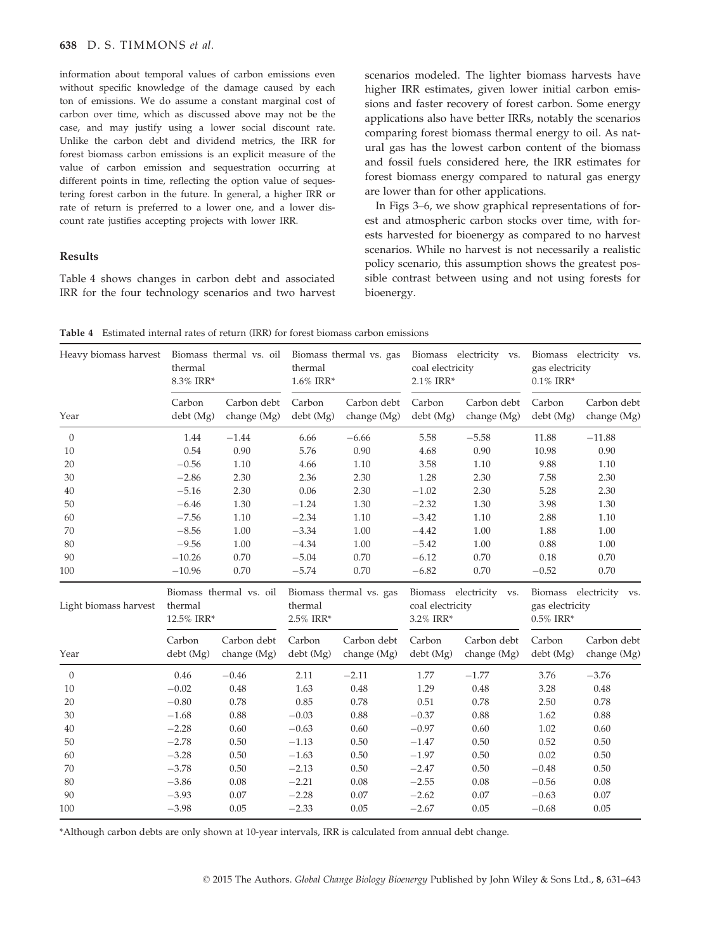### 638 D. S. TIMMONS et al.

information about temporal values of carbon emissions even without specific knowledge of the damage caused by each ton of emissions. We do assume a constant marginal cost of carbon over time, which as discussed above may not be the case, and may justify using a lower social discount rate. Unlike the carbon debt and dividend metrics, the IRR for forest biomass carbon emissions is an explicit measure of the value of carbon emission and sequestration occurring at different points in time, reflecting the option value of sequestering forest carbon in the future. In general, a higher IRR or rate of return is preferred to a lower one, and a lower discount rate justifies accepting projects with lower IRR.

#### Results

Table 4 shows changes in carbon debt and associated IRR for the four technology scenarios and two harvest scenarios modeled. The lighter biomass harvests have higher IRR estimates, given lower initial carbon emissions and faster recovery of forest carbon. Some energy applications also have better IRRs, notably the scenarios comparing forest biomass thermal energy to oil. As natural gas has the lowest carbon content of the biomass and fossil fuels considered here, the IRR estimates for forest biomass energy compared to natural gas energy are lower than for other applications.

In Figs 3–6, we show graphical representations of forest and atmospheric carbon stocks over time, with forests harvested for bioenergy as compared to no harvest scenarios. While no harvest is not necessarily a realistic policy scenario, this assumption shows the greatest possible contrast between using and not using forests for bioenergy.

Table 4 Estimated internal rates of return (IRR) for forest biomass carbon emissions

|                               | Heavy biomass harvest Biomass thermal vs. oil Biomass thermal vs. gas<br>thermal<br>8.3% IRR* |                            | thermal<br>1.6% IRR*                            |                              | Biomass electricity vs.<br>coal electricity<br>2.1% IRR* |                              | Biomass electricity vs.<br>gas electricity<br>$0.1\%$ IRR* |                            |
|-------------------------------|-----------------------------------------------------------------------------------------------|----------------------------|-------------------------------------------------|------------------------------|----------------------------------------------------------|------------------------------|------------------------------------------------------------|----------------------------|
| Year                          | Carbon<br>debt (Mg)                                                                           | Carbon debt<br>change (Mg) | Carbon<br>debt (Mg)                             | Carbon debt<br>change (Mg)   | Carbon<br>debt(Mg)                                       | Carbon debt<br>change (Mg)   | Carbon<br>debt (Mg)                                        | Carbon debt<br>change (Mg) |
| $\theta$                      | 1.44                                                                                          | $-1.44$                    | 6.66                                            | $-6.66$                      | 5.58                                                     | $-5.58$                      | 11.88                                                      | $-11.88$                   |
| 10                            | 0.54                                                                                          | 0.90                       | 5.76                                            | 0.90                         | 4.68                                                     | 0.90                         | 10.98                                                      | 0.90                       |
| 20                            | $-0.56$                                                                                       | 1.10                       | 4.66                                            | 1.10                         | 3.58                                                     | 1.10                         | 9.88                                                       | 1.10                       |
| 30                            | $-2.86$                                                                                       | 2.30                       | 2.36                                            | 2.30                         | 1.28                                                     | 2.30                         | 7.58                                                       | 2.30                       |
| 40                            | $-5.16$                                                                                       | 2.30                       | 0.06                                            | 2.30                         | $-1.02$                                                  | 2.30                         | 5.28                                                       | 2.30                       |
| 50                            | $-6.46$                                                                                       | 1.30                       | $-1.24$                                         | 1.30                         | $-2.32$                                                  | 1.30                         | 3.98                                                       | 1.30                       |
| 60                            | $-7.56$                                                                                       | 1.10                       | $-2.34$                                         | 1.10                         | $-3.42$                                                  | 1.10                         | 2.88                                                       | 1.10                       |
| 70                            | $-8.56$                                                                                       | 1.00                       | $-3.34$                                         | 1.00                         | $-4.42$                                                  | 1.00                         | 1.88                                                       | 1.00                       |
| 80                            | $-9.56$                                                                                       | 1.00                       | $-4.34$                                         | 1.00                         | $-5.42$                                                  | 1.00                         | 0.88                                                       | 1.00                       |
| 90                            | $-10.26$                                                                                      | 0.70                       | $-5.04$                                         | 0.70                         | $-6.12$                                                  | 0.70                         | 0.18                                                       | 0.70                       |
| 100                           | $-10.96$                                                                                      | 0.70                       | $-5.74$                                         | 0.70                         | $-6.82$                                                  | 0.70                         | $-0.52$                                                    | 0.70                       |
| Light biomass harvest<br>Year | Biomass thermal vs. oil<br>thermal<br>12.5% IRR*                                              |                            | Biomass thermal vs. gas<br>thermal<br>2.5% IRR* |                              | Biomass electricity vs.<br>coal electricity<br>3.2% IRR* |                              | Biomass electricity vs.<br>gas electricity<br>0.5% IRR*    |                            |
|                               | Carbon<br>debt (Mg)                                                                           | Carbon debt<br>change (Mg) | Carbon<br>debt(Mg)                              | Carbon debt<br>change $(Mg)$ | Carbon<br>debt(Mg)                                       | Carbon debt<br>change $(Mg)$ | Carbon<br>debt(Mg)                                         | Carbon debt<br>change (Mg) |
| $\theta$                      | 0.46                                                                                          | $-0.46$                    | 2.11                                            | $-2.11$                      | 1.77                                                     | $-1.77$                      | 3.76                                                       | $-3.76$                    |
| 10                            | $-0.02$                                                                                       | 0.48                       | 1.63                                            | 0.48                         | 1.29                                                     | 0.48                         | 3.28                                                       | 0.48                       |
| 20                            | $-0.80$                                                                                       | 0.78                       | 0.85                                            | 0.78                         | 0.51                                                     | 0.78                         | 2.50                                                       | 0.78                       |
| 30                            | $-1.68$                                                                                       | 0.88                       | $-0.03$                                         | 0.88                         | $-0.37$                                                  | 0.88                         | 1.62                                                       | 0.88                       |
| 40                            | $-2.28$                                                                                       | 0.60                       | $-0.63$                                         | 0.60                         | $-0.97$                                                  | 0.60                         | 1.02                                                       | 0.60                       |
| 50                            | $-2.78$                                                                                       | 0.50                       | $-1.13$                                         | 0.50                         | $-1.47$                                                  | 0.50                         | 0.52                                                       | 0.50                       |
| 60                            | $-3.28$                                                                                       | 0.50                       | $-1.63$                                         | 0.50                         | $-1.97$                                                  | 0.50                         | 0.02                                                       | 0.50                       |
| 70                            | $-3.78$                                                                                       | 0.50                       | $-2.13$                                         | 0.50                         | $-2.47$                                                  | 0.50                         | $-0.48$                                                    | 0.50                       |
| 80                            | $-3.86$                                                                                       | 0.08                       | $-2.21$                                         | 0.08                         | $-2.55$                                                  | 0.08                         | $-0.56$                                                    | 0.08                       |
| 90                            | $-3.93$                                                                                       | 0.07                       | $-2.28$                                         | 0.07                         | $-2.62$                                                  | 0.07                         | $-0.63$                                                    | 0.07                       |
| 100                           | $-3.98$                                                                                       | 0.05                       | $-2.33$                                         | 0.05                         | $-2.67$                                                  | 0.05                         | $-0.68$                                                    | 0.05                       |

\*Although carbon debts are only shown at 10-year intervals, IRR is calculated from annual debt change.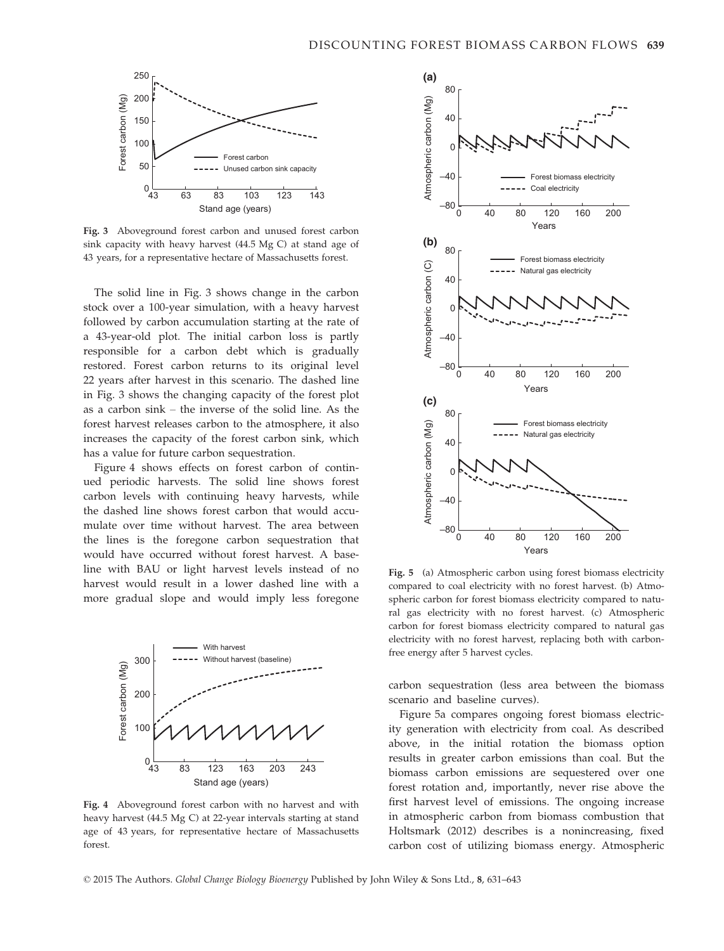

Fig. 3 Aboveground forest carbon and unused forest carbon sink capacity with heavy harvest (44.5 Mg C) at stand age of 43 years, for a representative hectare of Massachusetts forest.

The solid line in Fig. 3 shows change in the carbon stock over a 100-year simulation, with a heavy harvest followed by carbon accumulation starting at the rate of a 43-year-old plot. The initial carbon loss is partly responsible for a carbon debt which is gradually restored. Forest carbon returns to its original level 22 years after harvest in this scenario. The dashed line in Fig. 3 shows the changing capacity of the forest plot as a carbon sink – the inverse of the solid line. As the forest harvest releases carbon to the atmosphere, it also increases the capacity of the forest carbon sink, which has a value for future carbon sequestration.

Figure 4 shows effects on forest carbon of continued periodic harvests. The solid line shows forest carbon levels with continuing heavy harvests, while the dashed line shows forest carbon that would accumulate over time without harvest. The area between the lines is the foregone carbon sequestration that would have occurred without forest harvest. A baseline with BAU or light harvest levels instead of no harvest would result in a lower dashed line with a more gradual slope and would imply less foregone



Fig. 4 Aboveground forest carbon with no harvest and with heavy harvest (44.5 Mg C) at 22-year intervals starting at stand age of 43 years, for representative hectare of Massachusetts forest.



Fig. 5 (a) Atmospheric carbon using forest biomass electricity compared to coal electricity with no forest harvest. (b) Atmospheric carbon for forest biomass electricity compared to natural gas electricity with no forest harvest. (c) Atmospheric carbon for forest biomass electricity compared to natural gas electricity with no forest harvest, replacing both with carbonfree energy after 5 harvest cycles.

carbon sequestration (less area between the biomass scenario and baseline curves).

Figure 5a compares ongoing forest biomass electricity generation with electricity from coal. As described above, in the initial rotation the biomass option results in greater carbon emissions than coal. But the biomass carbon emissions are sequestered over one forest rotation and, importantly, never rise above the first harvest level of emissions. The ongoing increase in atmospheric carbon from biomass combustion that Holtsmark (2012) describes is a nonincreasing, fixed carbon cost of utilizing biomass energy. Atmospheric

© 2015 The Authors. Global Change Biology Bioenergy Published by John Wiley & Sons Ltd., 8, 631–643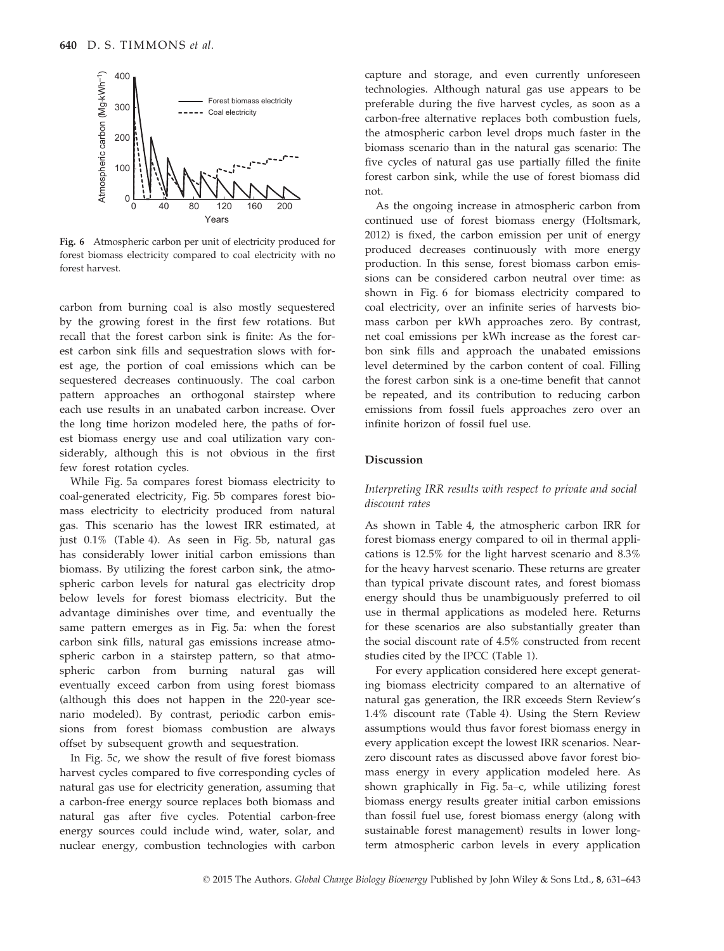

Fig. 6 Atmospheric carbon per unit of electricity produced for forest biomass electricity compared to coal electricity with no forest harvest.

carbon from burning coal is also mostly sequestered by the growing forest in the first few rotations. But recall that the forest carbon sink is finite: As the forest carbon sink fills and sequestration slows with forest age, the portion of coal emissions which can be sequestered decreases continuously. The coal carbon pattern approaches an orthogonal stairstep where each use results in an unabated carbon increase. Over the long time horizon modeled here, the paths of forest biomass energy use and coal utilization vary considerably, although this is not obvious in the first few forest rotation cycles.

While Fig. 5a compares forest biomass electricity to coal-generated electricity, Fig. 5b compares forest biomass electricity to electricity produced from natural gas. This scenario has the lowest IRR estimated, at just 0.1% (Table 4). As seen in Fig. 5b, natural gas has considerably lower initial carbon emissions than biomass. By utilizing the forest carbon sink, the atmospheric carbon levels for natural gas electricity drop below levels for forest biomass electricity. But the advantage diminishes over time, and eventually the same pattern emerges as in Fig. 5a: when the forest carbon sink fills, natural gas emissions increase atmospheric carbon in a stairstep pattern, so that atmospheric carbon from burning natural gas will eventually exceed carbon from using forest biomass (although this does not happen in the 220-year scenario modeled). By contrast, periodic carbon emissions from forest biomass combustion are always offset by subsequent growth and sequestration.

In Fig. 5c, we show the result of five forest biomass harvest cycles compared to five corresponding cycles of natural gas use for electricity generation, assuming that a carbon-free energy source replaces both biomass and natural gas after five cycles. Potential carbon-free energy sources could include wind, water, solar, and nuclear energy, combustion technologies with carbon capture and storage, and even currently unforeseen technologies. Although natural gas use appears to be preferable during the five harvest cycles, as soon as a carbon-free alternative replaces both combustion fuels, the atmospheric carbon level drops much faster in the biomass scenario than in the natural gas scenario: The five cycles of natural gas use partially filled the finite forest carbon sink, while the use of forest biomass did not.

As the ongoing increase in atmospheric carbon from continued use of forest biomass energy (Holtsmark, 2012) is fixed, the carbon emission per unit of energy produced decreases continuously with more energy production. In this sense, forest biomass carbon emissions can be considered carbon neutral over time: as shown in Fig. 6 for biomass electricity compared to coal electricity, over an infinite series of harvests biomass carbon per kWh approaches zero. By contrast, net coal emissions per kWh increase as the forest carbon sink fills and approach the unabated emissions level determined by the carbon content of coal. Filling the forest carbon sink is a one-time benefit that cannot be repeated, and its contribution to reducing carbon emissions from fossil fuels approaches zero over an infinite horizon of fossil fuel use.

#### Discussion

## Interpreting IRR results with respect to private and social discount rates

As shown in Table 4, the atmospheric carbon IRR for forest biomass energy compared to oil in thermal applications is 12.5% for the light harvest scenario and 8.3% for the heavy harvest scenario. These returns are greater than typical private discount rates, and forest biomass energy should thus be unambiguously preferred to oil use in thermal applications as modeled here. Returns for these scenarios are also substantially greater than the social discount rate of 4.5% constructed from recent studies cited by the IPCC (Table 1).

For every application considered here except generating biomass electricity compared to an alternative of natural gas generation, the IRR exceeds Stern Review's 1.4% discount rate (Table 4). Using the Stern Review assumptions would thus favor forest biomass energy in every application except the lowest IRR scenarios. Nearzero discount rates as discussed above favor forest biomass energy in every application modeled here. As shown graphically in Fig. 5a–c, while utilizing forest biomass energy results greater initial carbon emissions than fossil fuel use, forest biomass energy (along with sustainable forest management) results in lower longterm atmospheric carbon levels in every application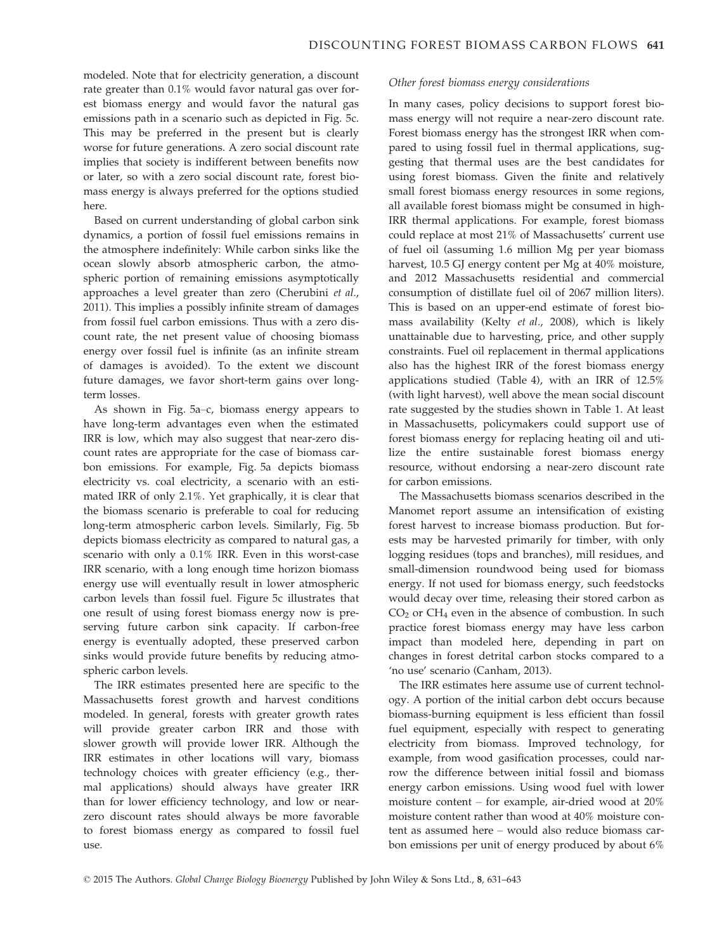modeled. Note that for electricity generation, a discount rate greater than 0.1% would favor natural gas over forest biomass energy and would favor the natural gas emissions path in a scenario such as depicted in Fig. 5c. This may be preferred in the present but is clearly worse for future generations. A zero social discount rate implies that society is indifferent between benefits now or later, so with a zero social discount rate, forest biomass energy is always preferred for the options studied here.

Based on current understanding of global carbon sink dynamics, a portion of fossil fuel emissions remains in the atmosphere indefinitely: While carbon sinks like the ocean slowly absorb atmospheric carbon, the atmospheric portion of remaining emissions asymptotically approaches a level greater than zero (Cherubini et al., 2011). This implies a possibly infinite stream of damages from fossil fuel carbon emissions. Thus with a zero discount rate, the net present value of choosing biomass energy over fossil fuel is infinite (as an infinite stream of damages is avoided). To the extent we discount future damages, we favor short-term gains over longterm losses.

As shown in Fig. 5a–c, biomass energy appears to have long-term advantages even when the estimated IRR is low, which may also suggest that near-zero discount rates are appropriate for the case of biomass carbon emissions. For example, Fig. 5a depicts biomass electricity vs. coal electricity, a scenario with an estimated IRR of only 2.1%. Yet graphically, it is clear that the biomass scenario is preferable to coal for reducing long-term atmospheric carbon levels. Similarly, Fig. 5b depicts biomass electricity as compared to natural gas, a scenario with only a 0.1% IRR. Even in this worst-case IRR scenario, with a long enough time horizon biomass energy use will eventually result in lower atmospheric carbon levels than fossil fuel. Figure 5c illustrates that one result of using forest biomass energy now is preserving future carbon sink capacity. If carbon-free energy is eventually adopted, these preserved carbon sinks would provide future benefits by reducing atmospheric carbon levels.

The IRR estimates presented here are specific to the Massachusetts forest growth and harvest conditions modeled. In general, forests with greater growth rates will provide greater carbon IRR and those with slower growth will provide lower IRR. Although the IRR estimates in other locations will vary, biomass technology choices with greater efficiency (e.g., thermal applications) should always have greater IRR than for lower efficiency technology, and low or nearzero discount rates should always be more favorable to forest biomass energy as compared to fossil fuel use.

## Other forest biomass energy considerations

In many cases, policy decisions to support forest biomass energy will not require a near-zero discount rate. Forest biomass energy has the strongest IRR when compared to using fossil fuel in thermal applications, suggesting that thermal uses are the best candidates for using forest biomass. Given the finite and relatively small forest biomass energy resources in some regions, all available forest biomass might be consumed in high-IRR thermal applications. For example, forest biomass could replace at most 21% of Massachusetts' current use of fuel oil (assuming 1.6 million Mg per year biomass harvest, 10.5 GJ energy content per Mg at 40% moisture, and 2012 Massachusetts residential and commercial consumption of distillate fuel oil of 2067 million liters). This is based on an upper-end estimate of forest biomass availability (Kelty et al., 2008), which is likely unattainable due to harvesting, price, and other supply constraints. Fuel oil replacement in thermal applications also has the highest IRR of the forest biomass energy applications studied (Table 4), with an IRR of 12.5% (with light harvest), well above the mean social discount rate suggested by the studies shown in Table 1. At least in Massachusetts, policymakers could support use of forest biomass energy for replacing heating oil and utilize the entire sustainable forest biomass energy resource, without endorsing a near-zero discount rate for carbon emissions.

The Massachusetts biomass scenarios described in the Manomet report assume an intensification of existing forest harvest to increase biomass production. But forests may be harvested primarily for timber, with only logging residues (tops and branches), mill residues, and small-dimension roundwood being used for biomass energy. If not used for biomass energy, such feedstocks would decay over time, releasing their stored carbon as  $CO<sub>2</sub>$  or  $CH<sub>4</sub>$  even in the absence of combustion. In such practice forest biomass energy may have less carbon impact than modeled here, depending in part on changes in forest detrital carbon stocks compared to a 'no use' scenario (Canham, 2013).

The IRR estimates here assume use of current technology. A portion of the initial carbon debt occurs because biomass-burning equipment is less efficient than fossil fuel equipment, especially with respect to generating electricity from biomass. Improved technology, for example, from wood gasification processes, could narrow the difference between initial fossil and biomass energy carbon emissions. Using wood fuel with lower moisture content – for example, air-dried wood at 20% moisture content rather than wood at 40% moisture content as assumed here – would also reduce biomass carbon emissions per unit of energy produced by about 6%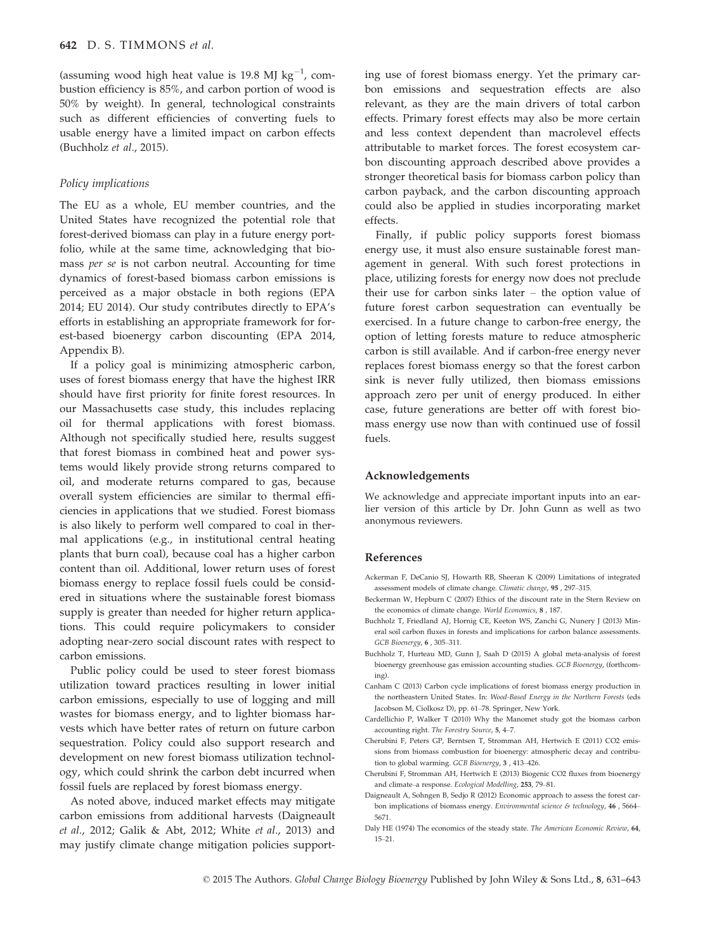(assuming wood high heat value is 19.8 MJ  $\text{kg}^{-1}$ , combustion efficiency is 85%, and carbon portion of wood is 50% by weight). In general, technological constraints such as different efficiencies of converting fuels to usable energy have a limited impact on carbon effects (Buchholz et al., 2015).

#### Policy implications

The EU as a whole, EU member countries, and the United States have recognized the potential role that forest-derived biomass can play in a future energy portfolio, while at the same time, acknowledging that biomass per se is not carbon neutral. Accounting for time dynamics of forest-based biomass carbon emissions is perceived as a major obstacle in both regions (EPA 2014; EU 2014). Our study contributes directly to EPA's efforts in establishing an appropriate framework for forest-based bioenergy carbon discounting (EPA 2014, Appendix B).

If a policy goal is minimizing atmospheric carbon, uses of forest biomass energy that have the highest IRR should have first priority for finite forest resources. In our Massachusetts case study, this includes replacing oil for thermal applications with forest biomass. Although not specifically studied here, results suggest that forest biomass in combined heat and power systems would likely provide strong returns compared to oil, and moderate returns compared to gas, because overall system efficiencies are similar to thermal efficiencies in applications that we studied. Forest biomass is also likely to perform well compared to coal in thermal applications (e.g., in institutional central heating plants that burn coal), because coal has a higher carbon content than oil. Additional, lower return uses of forest biomass energy to replace fossil fuels could be considered in situations where the sustainable forest biomass supply is greater than needed for higher return applications. This could require policymakers to consider adopting near-zero social discount rates with respect to carbon emissions.

Public policy could be used to steer forest biomass utilization toward practices resulting in lower initial carbon emissions, especially to use of logging and mill wastes for biomass energy, and to lighter biomass harvests which have better rates of return on future carbon sequestration. Policy could also support research and development on new forest biomass utilization technology, which could shrink the carbon debt incurred when fossil fuels are replaced by forest biomass energy.

As noted above, induced market effects may mitigate carbon emissions from additional harvests (Daigneault et al., 2012; Galik & Abt, 2012; White et al., 2013) and may justify climate change mitigation policies supporting use of forest biomass energy. Yet the primary carbon emissions and sequestration effects are also relevant, as they are the main drivers of total carbon effects. Primary forest effects may also be more certain and less context dependent than macrolevel effects attributable to market forces. The forest ecosystem carbon discounting approach described above provides a stronger theoretical basis for biomass carbon policy than carbon payback, and the carbon discounting approach could also be applied in studies incorporating market effects.

Finally, if public policy supports forest biomass energy use, it must also ensure sustainable forest management in general. With such forest protections in place, utilizing forests for energy now does not preclude their use for carbon sinks later – the option value of future forest carbon sequestration can eventually be exercised. In a future change to carbon-free energy, the option of letting forests mature to reduce atmospheric carbon is still available. And if carbon-free energy never replaces forest biomass energy so that the forest carbon sink is never fully utilized, then biomass emissions approach zero per unit of energy produced. In either case, future generations are better off with forest biomass energy use now than with continued use of fossil fuels.

#### Acknowledgements

We acknowledge and appreciate important inputs into an earlier version of this article by Dr. John Gunn as well as two anonymous reviewers.

#### References

- Ackerman F, DeCanio SJ, Howarth RB, Sheeran K (2009) Limitations of integrated assessment models of climate change. Climatic change, 95 , 297–315.
- Beckerman W, Hepburn C (2007) Ethics of the discount rate in the Stern Review on the economics of climate change. World Economics, 8 , 187.
- Buchholz T, Friedland AJ, Hornig CE, Keeton WS, Zanchi G, Nunery J (2013) Mineral soil carbon fluxes in forests and implications for carbon balance assessments. GCB Bioenergy, 6 , 305–311.
- Buchholz T, Hurteau MD, Gunn J, Saah D (2015) A global meta-analysis of forest bioenergy greenhouse gas emission accounting studies. GCB Bioenergy, (forthcoming).
- Canham C (2013) Carbon cycle implications of forest biomass energy production in the northeastern United States. In: Wood-Based Energy in the Northern Forests (eds Jacobson M, Ciolkosz D), pp. 61–78. Springer, New York.
- Cardellichio P, Walker T (2010) Why the Manomet study got the biomass carbon accounting right. The Forestry Source, 5, 4–7.
- Cherubini F, Peters GP, Berntsen T, Stromman AH, Hertwich E (2011) CO2 emissions from biomass combustion for bioenergy: atmospheric decay and contribution to global warming. GCB Bioenergy, 3 , 413–426.
- Cherubini F, Stromman AH, Hertwich E (2013) Biogenic CO2 fluxes from bioenergy and climate–a response. Ecological Modelling, 253, 79–81.
- Daigneault A, Sohngen B, Sedjo R (2012) Economic approach to assess the forest carbon implications of biomass energy. Environmental science & technology, 46, 5664-5671.
- Daly HE (1974) The economics of the steady state. The American Economic Review, 64, 15–21.